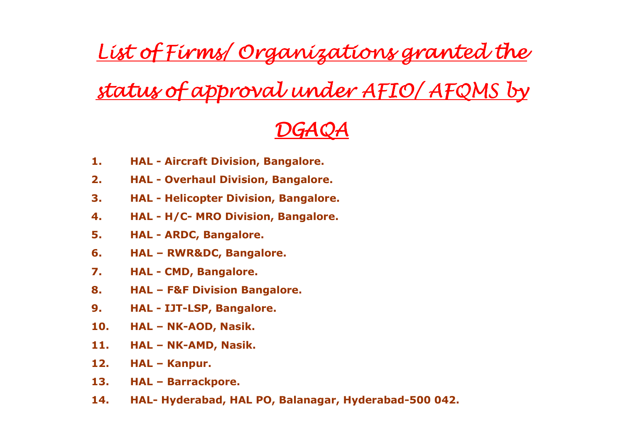List of Firms/ Organizations granted the

## <u>status of approval under AFIO/AFQMS by</u>

## DGAQA

- 1.HAL - Aircraft Division, Bangalore.
- 2. HAL Overhaul Division, Bangalore.
- 3. HAL Helicopter Division, Bangalore.
- 4. HAL H/C- MRO Division, Bangalore.
- 5. HAL ARDC, Bangalore.
- 6. HAL RWR&DC, Bangalore.
- 7. HAL CMD, Bangalore.
- 8. HAL F&F Division Bangalore.
- 9. HAL IJT-LSP, Bangalore.
- 10.HAL – NK-AOD, Nasik.
- 11.HAL – NK-AMD, Nasik.
- 12.HAL – Kanpur.
- 13.HAL – Barrackpore.
- 14.HAL- Hyderabad, HAL PO, Balanagar, Hyderabad-500 042.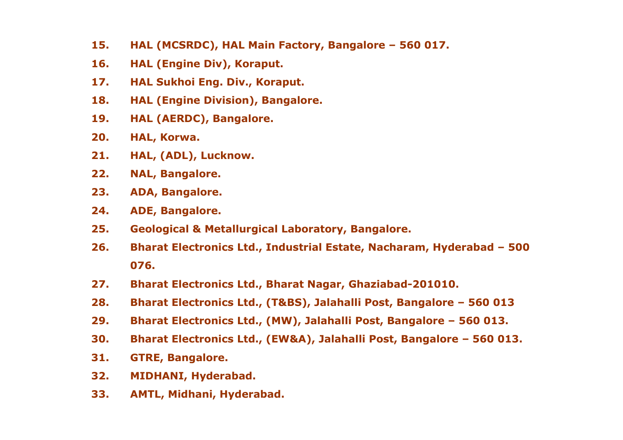- 15.HAL (MCSRDC), HAL Main Factory, Bangalore – 560 017.
- 16.HAL (Engine Div), Koraput.
- 17.HAL Sukhoi Eng. Div., Koraput.
- 18.HAL (Engine Division), Bangalore.
- 19.HAL (AERDC), Bangalore.
- 20.HAL, Korwa.
- 21.HAL, (ADL), Lucknow.
- 22.NAL, Bangalore.
- 23.ADA, Bangalore.
- 24.ADE, Bangalore.
- 25.Geological & Metallurgical Laboratory, Bangalore.
- 26. Bharat Electronics Ltd., Industrial Estate, Nacharam, Hyderabad – 500 076.
- 27.Bharat Electronics Ltd., Bharat Nagar, Ghaziabad-201010.
- 28.Bharat Electronics Ltd., (T&BS), Jalahalli Post, Bangalore – 560 013
- 29.Bharat Electronics Ltd., (MW), Jalahalli Post, Bangalore – 560 013.
- 30.Bharat Electronics Ltd., (EW&A), Jalahalli Post, Bangalore – 560 013.
- 31.GTRE, Bangalore.
- 32.MIDHANI, Hyderabad.
- 33.AMTL, Midhani, Hyderabad.